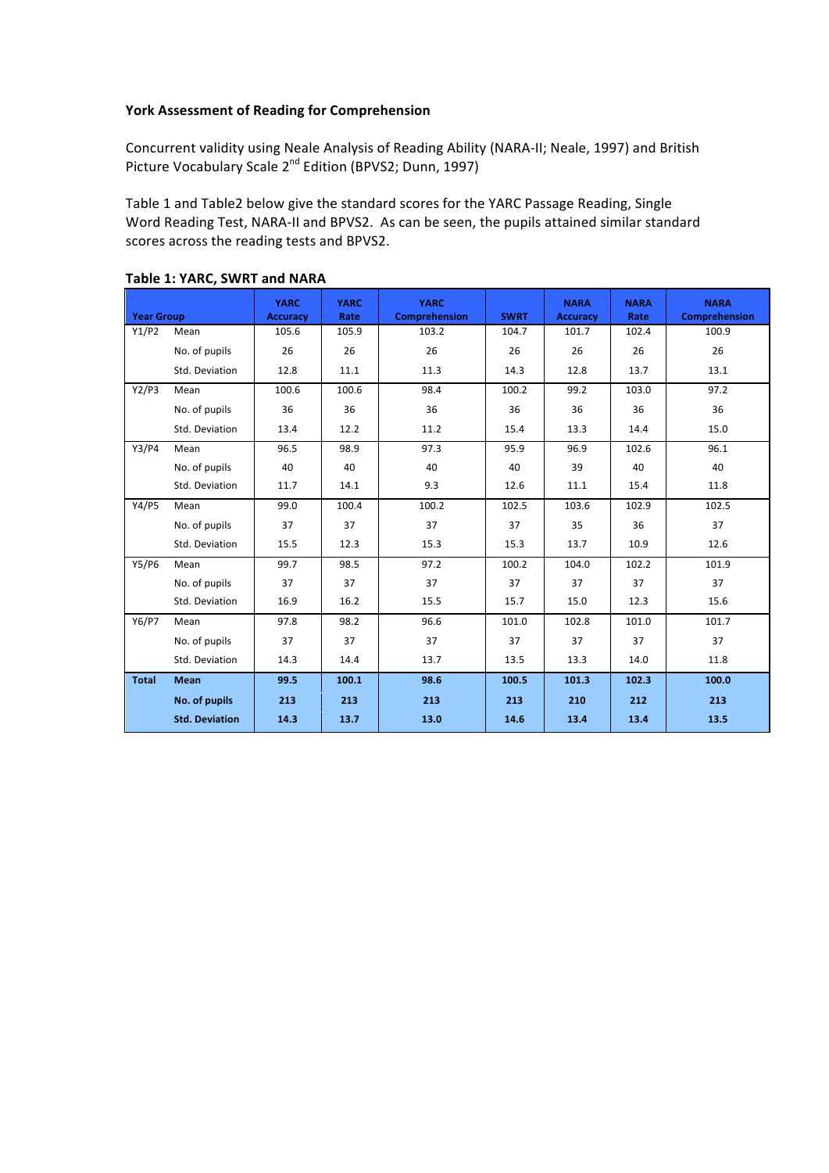## York Assessment of Reading for Comprehension

Concurrent validity using Neale Analysis of Reading Ability (NARA-II; Neale, 1997) and British Picture Vocabulary Scale 2<sup>nd</sup> Edition (BPVS2; Dunn, 1997)

Table 1 and Table2 below give the standard scores for the YARC Passage Reading, Single Word Reading Test, NARA-II and BPVS2. As can be seen, the pupils attained similar standard scores across the reading tests and BPVS2.

| <b>Year Group</b> |                       | <b>YARC</b><br><b>Accuracy</b> | <b>YARC</b><br>Rate | <b>YARC</b><br>Comprehension | <b>SWRT</b> | <b>NARA</b><br><b>Accuracy</b> | <b>NARA</b><br>Rate | <b>NARA</b><br>Comprehension |
|-------------------|-----------------------|--------------------------------|---------------------|------------------------------|-------------|--------------------------------|---------------------|------------------------------|
| Y1/P2             | Mean                  | 105.6                          | 105.9               | 103.2                        | 104.7       | 101.7                          | 102.4               | 100.9                        |
|                   | No. of pupils         | 26                             | 26                  | 26                           | 26          | 26                             | 26                  | 26                           |
|                   | Std. Deviation        | 12.8                           | 11.1                | 11.3                         | 14.3        | 12.8                           | 13.7                | 13.1                         |
| Y2/P3             | Mean                  | 100.6                          | 100.6               | 98.4                         | 100.2       | 99.2                           | 103.0               | 97.2                         |
|                   | No. of pupils         | 36                             | 36                  | 36                           | 36          | 36                             | 36                  | 36                           |
|                   | Std. Deviation        | 13.4                           | 12.2                | 11.2                         | 15.4        | 13.3                           | 14.4                | 15.0                         |
| Y3/P4             | Mean                  | 96.5                           | 98.9                | 97.3                         | 95.9        | 96.9                           | 102.6               | 96.1                         |
|                   | No. of pupils         | 40                             | 40                  | 40                           | 40          | 39                             | 40                  | 40                           |
|                   | Std. Deviation        | 11.7                           | 14.1                | 9.3                          | 12.6        | 11.1                           | 15.4                | 11.8                         |
| Y4/P5             | Mean                  | 99.0                           | 100.4               | 100.2                        | 102.5       | 103.6                          | 102.9               | 102.5                        |
|                   | No. of pupils         | 37                             | 37                  | 37                           | 37          | 35                             | 36                  | 37                           |
|                   | Std. Deviation        | 15.5                           | 12.3                | 15.3                         | 15.3        | 13.7                           | 10.9                | 12.6                         |
| Y5/P6             | Mean                  | 99.7                           | 98.5                | 97.2                         | 100.2       | 104.0                          | 102.2               | 101.9                        |
|                   | No. of pupils         | 37                             | 37                  | 37                           | 37          | 37                             | 37                  | 37                           |
|                   | Std. Deviation        | 16.9                           | 16.2                | 15.5                         | 15.7        | 15.0                           | 12.3                | 15.6                         |
| Y6/P7             | Mean                  | 97.8                           | 98.2                | 96.6                         | 101.0       | 102.8                          | 101.0               | 101.7                        |
|                   | No. of pupils         | 37                             | 37                  | 37                           | 37          | 37                             | 37                  | 37                           |
|                   | Std. Deviation        | 14.3                           | 14.4                | 13.7                         | 13.5        | 13.3                           | 14.0                | 11.8                         |
| <b>Total</b>      | <b>Mean</b>           | 99.5                           | 100.1               | 98.6                         | 100.5       | 101.3                          | 102.3               | 100.0                        |
|                   | No. of pupils         | 213                            | 213                 | 213                          | 213         | 210                            | 212                 | 213                          |
|                   | <b>Std. Deviation</b> | 14.3                           | 13.7                | 13.0                         | 14.6        | 13.4                           | 13.4                | 13.5                         |

## Table 1: YARC, SWRT and NARA